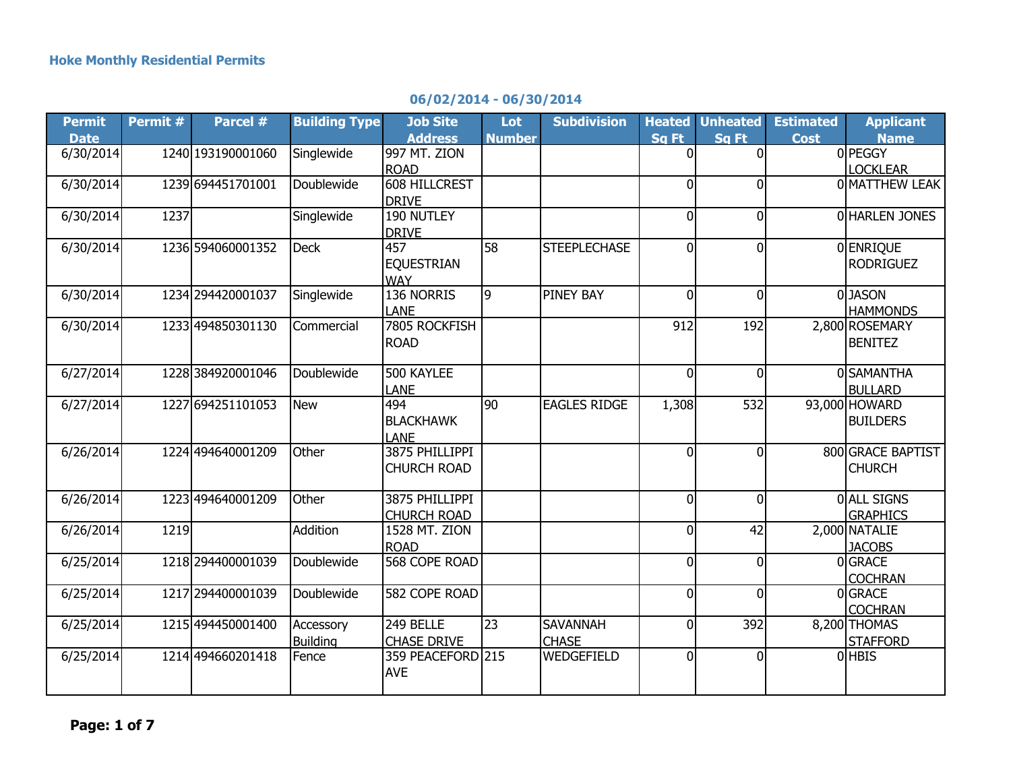|  |  | 06/02/2014 - 06/30/2014 |  |
|--|--|-------------------------|--|
|--|--|-------------------------|--|

| <b>Permit</b> | Permit # | Parcel #          | <b>Building Type</b> | <b>Job Site</b>    | <b>Lot</b>      | <b>Subdivision</b>  | <b>Heated</b>  | <b>Unheated</b> | <b>Estimated</b> | <b>Applicant</b>  |
|---------------|----------|-------------------|----------------------|--------------------|-----------------|---------------------|----------------|-----------------|------------------|-------------------|
| <b>Date</b>   |          |                   |                      | <b>Address</b>     | <b>Number</b>   |                     | Sq Ft          | Sa Ft           | <b>Cost</b>      | <b>Name</b>       |
| 6/30/2014     |          | 1240 193190001060 | Singlewide           | 997 MT. ZION       |                 |                     | 0              | $\Omega$        |                  | 0 PEGGY           |
|               |          |                   |                      | <b>ROAD</b>        |                 |                     |                |                 |                  | <b>LOCKLEAR</b>   |
| 6/30/2014     |          | 1239 694451701001 | Doublewide           | 608 HILLCREST      |                 |                     | 0              | $\Omega$        |                  | 0 MATTHEW LEAK    |
|               |          |                   |                      | <b>DRIVE</b>       |                 |                     |                |                 |                  |                   |
| 6/30/2014     | 1237     |                   | Singlewide           | 190 NUTLEY         |                 |                     | $\mathbf 0$    | $\overline{0}$  |                  | 0 HARLEN JONES    |
|               |          |                   |                      | <b>DRIVE</b>       |                 |                     |                |                 |                  |                   |
| 6/30/2014     |          | 1236 594060001352 | <b>Deck</b>          | 457                | 58              | <b>STEEPLECHASE</b> | 0              | $\overline{0}$  |                  | 0 ENRIQUE         |
|               |          |                   |                      | <b>EQUESTRIAN</b>  |                 |                     |                |                 |                  | <b>RODRIGUEZ</b>  |
|               |          |                   |                      | <b>WAY</b>         |                 |                     |                |                 |                  |                   |
| 6/30/2014     |          | 1234 294420001037 | Singlewide           | 136 NORRIS         | $\overline{9}$  | <b>PINEY BAY</b>    | $\overline{0}$ | $\overline{0}$  |                  | 0JASON            |
|               |          |                   |                      | <b>LANE</b>        |                 |                     |                |                 |                  | <b>HAMMONDS</b>   |
| 6/30/2014     |          | 1233 494850301130 | Commercial           | 7805 ROCKFISH      |                 |                     | 912            | 192             |                  | 2,800 ROSEMARY    |
|               |          |                   |                      | ROAD               |                 |                     |                |                 |                  | <b>BENITEZ</b>    |
|               |          |                   |                      |                    |                 |                     |                |                 |                  |                   |
| 6/27/2014     |          | 1228384920001046  | Doublewide           | 500 KAYLEE         |                 |                     | 0              | $\overline{0}$  |                  | 0 SAMANTHA        |
|               |          |                   |                      | <b>LANE</b>        |                 |                     |                |                 |                  | <b>BULLARD</b>    |
| 6/27/2014     |          | 1227 694251101053 | <b>New</b>           | 494                | $\overline{90}$ | <b>EAGLES RIDGE</b> | 1,308          | 532             |                  | 93,000 HOWARD     |
|               |          |                   |                      | <b>BLACKHAWK</b>   |                 |                     |                |                 |                  | <b>BUILDERS</b>   |
|               |          |                   |                      | LANE               |                 |                     |                |                 |                  |                   |
| 6/26/2014     |          | 1224 494640001209 | Other                | 3875 PHILLIPPI     |                 |                     | $\overline{0}$ | $\overline{0}$  |                  | 800 GRACE BAPTIST |
|               |          |                   |                      | <b>CHURCH ROAD</b> |                 |                     |                |                 |                  | <b>CHURCH</b>     |
|               |          |                   |                      |                    |                 |                     |                |                 |                  |                   |
| 6/26/2014     |          | 1223 494640001209 | Other                | 3875 PHILLIPPI     |                 |                     | 0              | $\overline{0}$  |                  | <b>OALL SIGNS</b> |
|               |          |                   |                      | <b>CHURCH ROAD</b> |                 |                     |                |                 |                  | <b>GRAPHICS</b>   |
| 6/26/2014     | 1219     |                   | Addition             | 1528 MT. ZION      |                 |                     | 0              | 42              |                  | 2,000 NATALIE     |
|               |          |                   |                      | <b>ROAD</b>        |                 |                     |                |                 |                  | <b>JACOBS</b>     |
| 6/25/2014     |          | 1218 294400001039 | Doublewide           | 568 COPE ROAD      |                 |                     | 0              | $\overline{0}$  |                  | 0 GRACE           |
|               |          |                   |                      |                    |                 |                     |                |                 |                  | <b>COCHRAN</b>    |
| 6/25/2014     |          | 1217 294400001039 | Doublewide           | 582 COPE ROAD      |                 |                     | 0              | $\overline{0}$  |                  | 0 GRACE           |
|               |          |                   |                      |                    |                 |                     |                |                 |                  | <b>COCHRAN</b>    |
| 6/25/2014     |          | 1215 494450001400 | Accessory            | 249 BELLE          | $\overline{23}$ | <b>SAVANNAH</b>     | 0              | 392             |                  | 8,200 THOMAS      |
|               |          |                   | <b>Building</b>      | <b>CHASE DRIVE</b> |                 | <b>CHASE</b>        |                |                 |                  | <b>STAFFORD</b>   |
| 6/25/2014     |          | 1214 494660201418 | Fence                | 359 PEACEFORD 215  |                 | WEDGEFIELD          | 0              | $\overline{0}$  |                  | 0 HBIS            |
|               |          |                   |                      | <b>AVE</b>         |                 |                     |                |                 |                  |                   |
|               |          |                   |                      |                    |                 |                     |                |                 |                  |                   |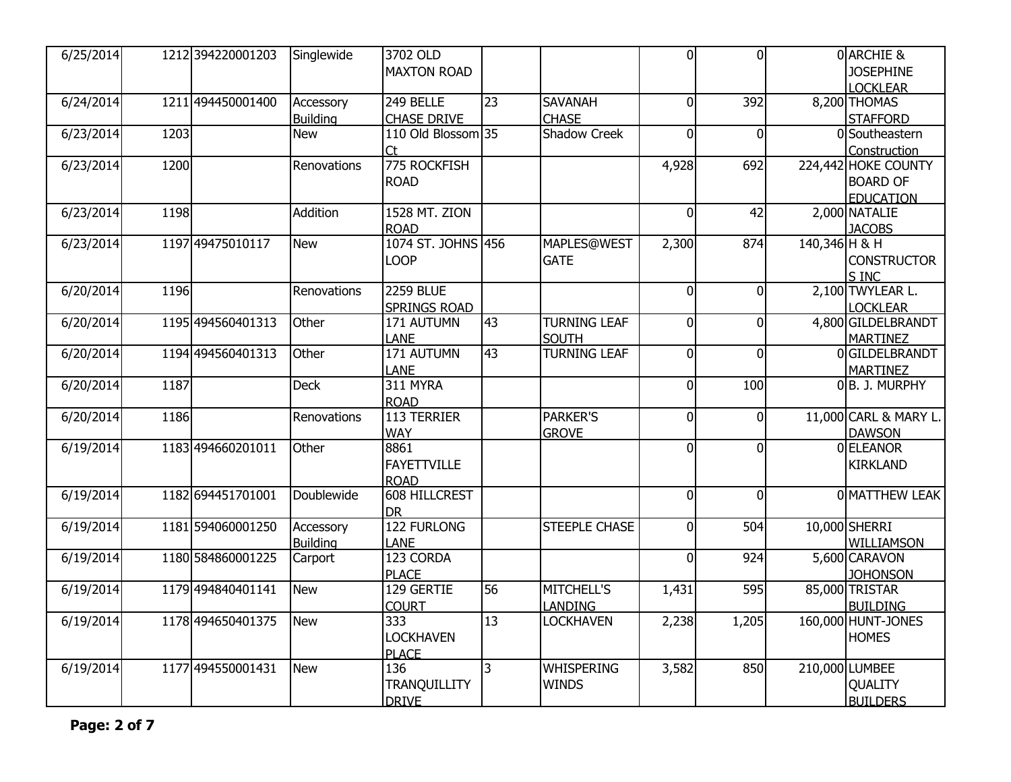| 6/25/2014 |      | 1212 394220001203 | Singlewide      | 3702 OLD             |                |                      | 0              | $\Omega$       |               | 0 ARCHIE &            |
|-----------|------|-------------------|-----------------|----------------------|----------------|----------------------|----------------|----------------|---------------|-----------------------|
|           |      |                   |                 | <b>MAXTON ROAD</b>   |                |                      |                |                |               | <b>JOSEPHINE</b>      |
|           |      |                   |                 |                      |                |                      |                |                |               | <b>LOCKLEAR</b>       |
| 6/24/2014 |      | 1211 494450001400 | Accessory       | 249 BELLE            | 23             | <b>SAVANAH</b>       | $\mathbf 0$    | 392            |               | 8,200 THOMAS          |
|           |      |                   | <b>Building</b> | <b>CHASE DRIVE</b>   |                | <b>CHASE</b>         |                |                |               | <b>STAFFORD</b>       |
| 6/23/2014 | 1203 |                   | <b>New</b>      | 110 Old Blossom 35   |                | <b>Shadow Creek</b>  | 0              | $\overline{0}$ |               | 0 Southeastern        |
|           |      |                   |                 | <b>Ct</b>            |                |                      |                |                |               | Construction          |
| 6/23/2014 | 1200 |                   | Renovations     | 775 ROCKFISH         |                |                      | 4,928          | 692            |               | 224,442 HOKE COUNTY   |
|           |      |                   |                 | <b>ROAD</b>          |                |                      |                |                |               | <b>BOARD OF</b>       |
|           |      |                   |                 |                      |                |                      |                |                |               | <b>EDUCATION</b>      |
| 6/23/2014 | 1198 |                   | Addition        | <b>1528 MT. ZION</b> |                |                      | 0              | 42             |               | 2,000 NATALIE         |
|           |      |                   |                 | <b>ROAD</b>          |                |                      |                |                |               | <b>JACOBS</b>         |
| 6/23/2014 |      | 1197 49475010117  | <b>New</b>      | 1074 ST. JOHNS 456   |                | <b>MAPLES@WEST</b>   | 2,300          | 874            | 140,346 H & H |                       |
|           |      |                   |                 | <b>LOOP</b>          |                | <b>GATE</b>          |                |                |               | <b>CONSTRUCTOR</b>    |
|           |      |                   |                 |                      |                |                      |                |                |               | S INC                 |
| 6/20/2014 | 1196 |                   | Renovations     | <b>2259 BLUE</b>     |                |                      | $\overline{0}$ | $\overline{0}$ |               | 2,100 TWYLEAR L.      |
|           |      |                   |                 | <b>SPRINGS ROAD</b>  |                |                      |                |                |               | <b>LOCKLEAR</b>       |
| 6/20/2014 |      | 1195 494560401313 | Other           | 171 AUTUMN           | 43             | <b>TURNING LEAF</b>  | $\mathbf 0$    | $\overline{0}$ |               | 4,800 GILDELBRANDT    |
|           |      |                   |                 | <b>LANE</b>          |                | <b>SOUTH</b>         |                |                |               | <b>MARTINEZ</b>       |
| 6/20/2014 |      | 1194 494560401313 | Other           | 171 AUTUMN           | 43             | <b>TURNING LEAF</b>  | $\overline{0}$ | $\overline{0}$ |               | 0GILDELBRANDT         |
|           |      |                   |                 | <b>LANE</b>          |                |                      |                |                |               | <b>MARTINEZ</b>       |
| 6/20/2014 | 1187 |                   | <b>Deck</b>     | 311 MYRA             |                |                      | $\mathbf 0$    | 100            |               | 0B. J. MURPHY         |
|           |      |                   |                 | <b>ROAD</b>          |                |                      |                |                |               |                       |
| 6/20/2014 | 1186 |                   | Renovations     | 113 TERRIER          |                | <b>PARKER'S</b>      | $\overline{0}$ | $\overline{0}$ |               | 11,000 CARL & MARY L. |
|           |      |                   |                 | <b>WAY</b>           |                | <b>GROVE</b>         |                |                |               | <b>DAWSON</b>         |
| 6/19/2014 |      | 1183 494660201011 | Other           | 8861                 |                |                      | 0              | $\overline{0}$ |               | 0 ELEANOR             |
|           |      |                   |                 | <b>FAYETTVILLE</b>   |                |                      |                |                |               | <b>KIRKLAND</b>       |
|           |      |                   |                 | <b>ROAD</b>          |                |                      |                |                |               |                       |
| 6/19/2014 |      | 1182 694451701001 | Doublewide      | 608 HILLCREST        |                |                      | 0              | $\Omega$       |               | 0 MATTHEW LEAK        |
|           |      |                   |                 | <b>I</b> DR          |                |                      |                |                |               |                       |
| 6/19/2014 |      | 1181 594060001250 | Accessory       | <b>122 FURLONG</b>   |                | <b>STEEPLE CHASE</b> | $\mathbf 0$    | 504            |               | 10,000 SHERRI         |
|           |      |                   | <b>Building</b> | LANE                 |                |                      |                |                |               | WILLIAMSON            |
| 6/19/2014 |      | 1180 584860001225 | Carport         | 123 CORDA            |                |                      | $\overline{0}$ | 924            |               | 5,600 CARAVON         |
|           |      |                   |                 | <b>PLACE</b>         |                |                      |                |                |               | <b>JOHONSON</b>       |
| 6/19/2014 |      | 1179 494840401141 | <b>New</b>      | 129 GERTIE           | 56             | <b>MITCHELL'S</b>    | 1,431          | 595            |               | 85,000 TRISTAR        |
|           |      |                   |                 | <b>COURT</b>         |                | <b>LANDING</b>       |                |                |               | <b>BUILDING</b>       |
| 6/19/2014 |      | 1178 494650401375 | <b>New</b>      | 333                  | 13             | <b>LOCKHAVEN</b>     | 2,238          | 1,205          |               | 160,000 HUNT-JONES    |
|           |      |                   |                 | <b>LOCKHAVEN</b>     |                |                      |                |                |               | <b>HOMES</b>          |
|           |      |                   |                 | <b>PLACE</b>         |                |                      |                |                |               |                       |
| 6/19/2014 |      | 1177 494550001431 | New             | 136                  | $\overline{3}$ | WHISPERING           | 3,582          | 850            |               | 210,000 LUMBEE        |
|           |      |                   |                 | TRANQUILLITY         |                | <b>WINDS</b>         |                |                |               | <b>QUALITY</b>        |
|           |      |                   |                 | DRIVE                |                |                      |                |                |               | <b>BUILDERS</b>       |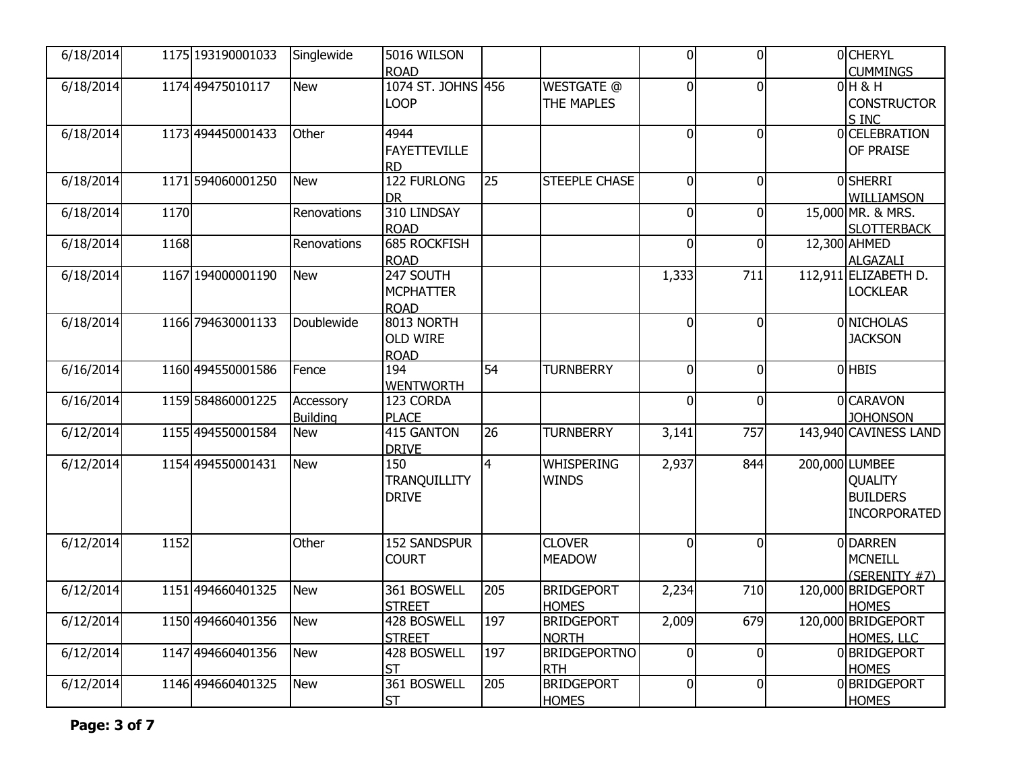| 6/18/2014 |      | 1175 193190001033 | Singlewide                   | 5016 WILSON<br><b>ROAD</b>                   |                 |                                   | $\overline{0}$ | $\mathbf{0}$   | 0 CHERYL<br><b>CUMMINGS</b>                                                |
|-----------|------|-------------------|------------------------------|----------------------------------------------|-----------------|-----------------------------------|----------------|----------------|----------------------------------------------------------------------------|
| 6/18/2014 |      | 1174 49475010117  | <b>New</b>                   | 1074 ST. JOHNS 456<br><b>LOOP</b>            |                 | <b>WESTGATE @</b><br>THE MAPLES   | $\overline{0}$ | $\overline{0}$ | $0H$ & H<br><b>CONSTRUCTOR</b><br>S INC                                    |
| 6/18/2014 |      | 1173 494450001433 | Other                        | 4944<br><b>FAYETTEVILLE</b><br><b>RD</b>     |                 |                                   | 0              | $\overline{0}$ | 0 CELEBRATION<br>OF PRAISE                                                 |
| 6/18/2014 |      | 1171 594060001250 | <b>New</b>                   | <b>122 FURLONG</b><br><b>DR</b>              | 25              | STEEPLE CHASE                     | $\mathbf 0$    | $\overline{0}$ | <b>OSHERRI</b><br><b>WILLIAMSON</b>                                        |
| 6/18/2014 | 1170 |                   | Renovations                  | 310 LINDSAY<br><b>ROAD</b>                   |                 |                                   | $\overline{0}$ | $\overline{0}$ | 15,000 MR. & MRS.<br><b>SLOTTERBACK</b>                                    |
| 6/18/2014 | 1168 |                   | Renovations                  | <b>685 ROCKFISH</b><br><b>ROAD</b>           |                 |                                   | $\mathbf 0$    | $\overline{0}$ | 12,300 AHMED<br><b>ALGAZALI</b>                                            |
| 6/18/2014 |      | 1167 194000001190 | <b>New</b>                   | 247 SOUTH<br><b>MCPHATTER</b><br><b>ROAD</b> |                 |                                   | 1,333          | 711            | 112,911 ELIZABETH D.<br><b>LOCKLEAR</b>                                    |
| 6/18/2014 |      | 1166 794630001133 | Doublewide                   | 8013 NORTH<br><b>OLD WIRE</b><br><b>ROAD</b> |                 |                                   | $\mathbf 0$    | $\overline{0}$ | 0 NICHOLAS<br><b>JACKSON</b>                                               |
| 6/16/2014 |      | 1160 494550001586 | Fence                        | 194<br><b>WENTWORTH</b>                      | 54              | <b>TURNBERRY</b>                  | $\mathbf 0$    | $\overline{0}$ | 0 HBIS                                                                     |
| 6/16/2014 |      | 1159 584860001225 | Accessory<br><b>Building</b> | 123 CORDA<br><b>PLACE</b>                    |                 |                                   | 0              | $\overline{0}$ | <b>O</b> CARAVON<br><b>JOHONSON</b>                                        |
| 6/12/2014 |      | 1155 494550001584 | <b>New</b>                   | 415 GANTON<br><b>DRIVE</b>                   | $\overline{26}$ | <b>TURNBERRY</b>                  | 3,141          | 757            | 143,940 CAVINESS LAND                                                      |
| 6/12/2014 |      | 1154 494550001431 | New                          | 150<br>TRANQUILLITY<br><b>DRIVE</b>          | $\overline{4}$  | <b>WHISPERING</b><br><b>WINDS</b> | 2,937          | 844            | 200,000 LUMBEE<br><b>QUALITY</b><br><b>BUILDERS</b><br><b>INCORPORATED</b> |
| 6/12/2014 | 1152 |                   | Other                        | <b>152 SANDSPUR</b><br><b>COURT</b>          |                 | <b>CLOVER</b><br><b>MEADOW</b>    | $\overline{0}$ | $\overline{0}$ | 0 DARREN<br><b>MCNEILL</b><br>(SERENITY #7)                                |
| 6/12/2014 |      | 1151 494660401325 | <b>New</b>                   | 361 BOSWELL<br><b>STREET</b>                 | 205             | <b>BRIDGEPORT</b><br><b>HOMES</b> | 2,234          | 710            | 120,000 BRIDGEPORT<br><b>HOMES</b>                                         |
| 6/12/2014 |      | 1150 494660401356 | <b>New</b>                   | 428 BOSWELL<br><b>STREET</b>                 | 197             | <b>BRIDGEPORT</b><br><b>NORTH</b> | 2,009          | 679            | 120,000 BRIDGEPORT<br>HOMES, LLC                                           |
| 6/12/2014 |      | 1147 494660401356 | <b>New</b>                   | 428 BOSWELL<br><b>ST</b>                     | 197             | <b>BRIDGEPORTNO</b><br><b>RTH</b> | $\mathbf 0$    | $\overline{0}$ | 0BRIDGEPORT<br><b>HOMES</b>                                                |
| 6/12/2014 |      | 1146 494660401325 | <b>New</b>                   | 361 BOSWELL<br><b>ST</b>                     | 205             | <b>BRIDGEPORT</b><br><b>HOMES</b> | 0              | $\overline{0}$ | 0BRIDGEPORT<br><b>HOMES</b>                                                |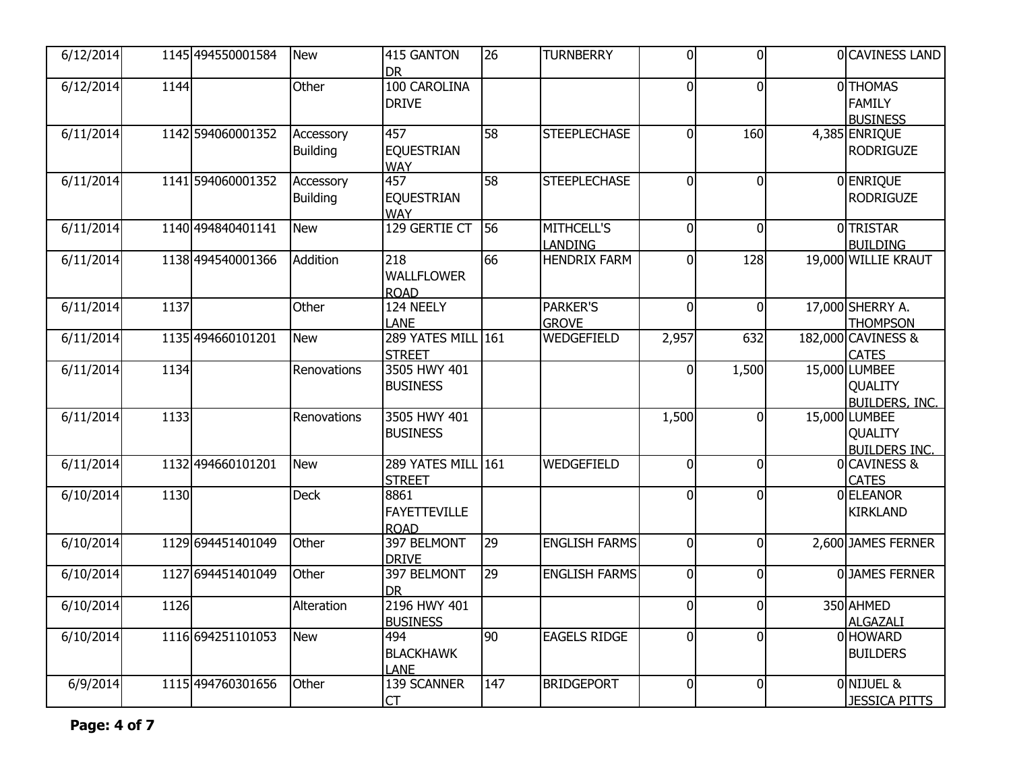| 6/12/2014 |      | 1145 494550001584 | <b>New</b>                   | 415 GANTON<br><b>DR</b>                    | 26              | <b>TURNBERRY</b>                    | $\overline{0}$ | $\mathbf{0}$   | 0 CAVINESS LAND                                          |
|-----------|------|-------------------|------------------------------|--------------------------------------------|-----------------|-------------------------------------|----------------|----------------|----------------------------------------------------------|
| 6/12/2014 | 1144 |                   | Other                        | 100 CAROLINA<br><b>DRIVE</b>               |                 |                                     | $\overline{0}$ | $\overline{0}$ | 0THOMAS<br><b>FAMILY</b><br><b>BUSINESS</b>              |
| 6/11/2014 |      | 1142 594060001352 | Accessory<br><b>Building</b> | 457<br><b>EQUESTRIAN</b><br><b>WAY</b>     | 58              | <b>STEEPLECHASE</b>                 | $\overline{0}$ | 160            | 4,385 ENRIQUE<br><b>RODRIGUZE</b>                        |
| 6/11/2014 |      | 1141 594060001352 | Accessory<br><b>Building</b> | 457<br><b>EQUESTRIAN</b><br><b>WAY</b>     | $\overline{58}$ | <b>STEEPLECHASE</b>                 | 0              | $\overline{0}$ | 0 ENRIQUE<br><b>RODRIGUZE</b>                            |
| 6/11/2014 |      | 1140 494840401141 | <b>New</b>                   | 129 GERTIE CT                              | 56              | <b>MITHCELL'S</b><br><b>LANDING</b> | $\overline{0}$ | $\overline{0}$ | <b>O</b> TRISTAR<br><b>BUILDING</b>                      |
| 6/11/2014 |      | 1138 494540001366 | Addition                     | 218<br><b>WALLFLOWER</b><br><b>ROAD</b>    | 66              | <b>HENDRIX FARM</b>                 | 0              | 128            | 19,000 WILLIE KRAUT                                      |
| 6/11/2014 | 1137 |                   | Other                        | 124 NEELY<br><b>LANE</b>                   |                 | <b>PARKER'S</b><br><b>GROVE</b>     | $\overline{0}$ | $\overline{0}$ | 17,000 SHERRY A.<br><b>THOMPSON</b>                      |
| 6/11/2014 |      | 1135 494660101201 | <b>New</b>                   | 289 YATES MILL 161<br><b>STREET</b>        |                 | <b>WEDGEFIELD</b>                   | 2,957          | 632            | 182,000 CAVINESS &<br><b>CATES</b>                       |
| 6/11/2014 | 1134 |                   | Renovations                  | 3505 HWY 401<br><b>BUSINESS</b>            |                 |                                     | 0              | 1,500          | 15,000 LUMBEE<br><b>QUALITY</b><br><b>BUILDERS, INC.</b> |
| 6/11/2014 | 1133 |                   | Renovations                  | 3505 HWY 401<br><b>BUSINESS</b>            |                 |                                     | 1,500          | $\overline{0}$ | 15,000 LUMBEE<br>QUALITY<br><b>BUILDERS INC.</b>         |
| 6/11/2014 |      | 1132 494660101201 | <b>New</b>                   | 289 YATES MILL 161<br><b>STREET</b>        |                 | WEDGEFIELD                          | $\mathbf 0$    | $\overline{0}$ | 0 CAVINESS &<br><b>CATES</b>                             |
| 6/10/2014 | 1130 |                   | <b>Deck</b>                  | 8861<br><b>FAYETTEVILLE</b><br><b>ROAD</b> |                 |                                     | $\overline{0}$ | $\overline{0}$ | 0 ELEANOR<br><b>KIRKLAND</b>                             |
| 6/10/2014 |      | 1129 694451401049 | Other                        | 397 BELMONT<br><b>DRIVE</b>                | 29              | <b>ENGLISH FARMS</b>                | $\mathbf 0$    | $\overline{0}$ | 2,600 JAMES FERNER                                       |
| 6/10/2014 |      | 1127 694451401049 | Other                        | 397 BELMONT<br><b>DR</b>                   | 29              | <b>ENGLISH FARMS</b>                | $\mathbf 0$    | $\overline{0}$ | 0JAMES FERNER                                            |
| 6/10/2014 | 1126 |                   | Alteration                   | 2196 HWY 401<br><b>BUSINESS</b>            |                 |                                     | 0              | $\overline{0}$ | 350 AHMED<br><b>ALGAZALI</b>                             |
| 6/10/2014 |      | 1116 694251101053 | New                          | 494<br><b>BLACKHAWK</b><br><b>LANE</b>     | 90              | <b>EAGELS RIDGE</b>                 | $\overline{0}$ | $\overline{0}$ | 0 HOWARD<br><b>BUILDERS</b>                              |
| 6/9/2014  |      | 1115 494760301656 | Other                        | 139 SCANNER<br><b>CT</b>                   | 147             | <b>BRIDGEPORT</b>                   | 0              | $\overline{0}$ | 0 NIJUEL &<br><b>JESSICA PITTS</b>                       |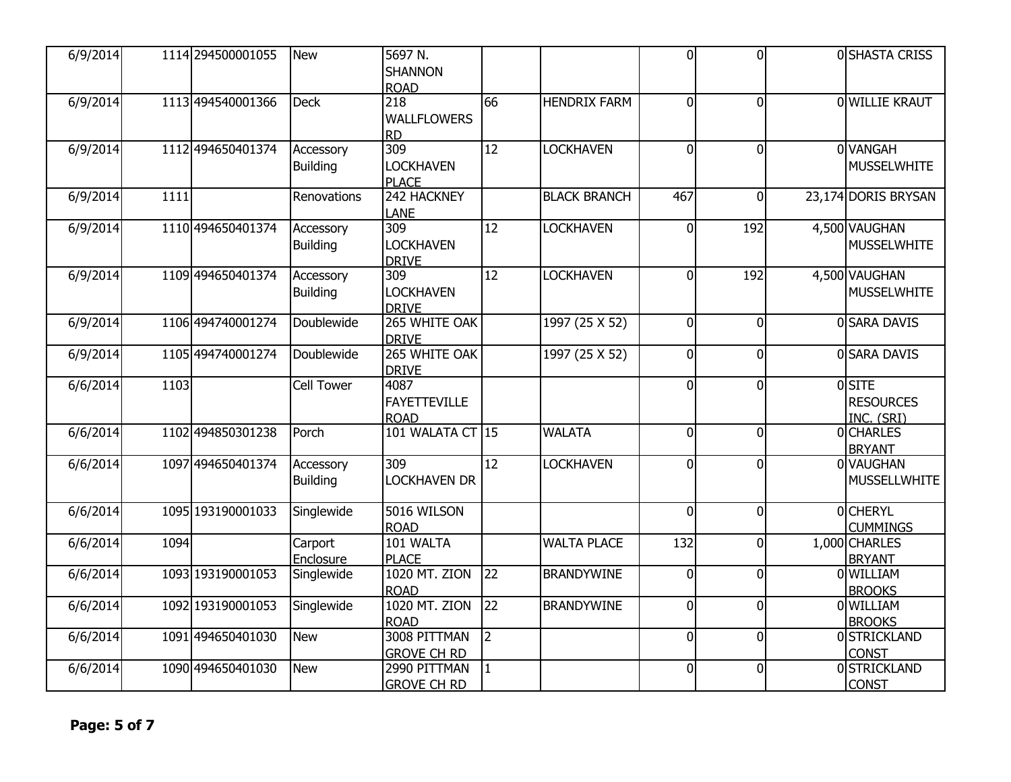| 6/9/2014 |      | 1114 294500001055 | <b>New</b>                   | 5697 N.<br><b>SHANNON</b><br><b>ROAD</b>   |                 |                     | $\overline{0}$ | $\Omega$       | 0 SHASTA CRISS                          |
|----------|------|-------------------|------------------------------|--------------------------------------------|-----------------|---------------------|----------------|----------------|-----------------------------------------|
| 6/9/2014 |      | 1113 494540001366 | <b>Deck</b>                  | 218<br><b>WALLFLOWERS</b><br><b>RD</b>     | 66              | <b>HENDRIX FARM</b> | $\overline{0}$ | $\overline{0}$ | 0 WILLIE KRAUT                          |
| 6/9/2014 |      | 1112 494650401374 | Accessory<br><b>Building</b> | 309<br><b>LOCKHAVEN</b><br><b>PLACE</b>    | $\overline{12}$ | <b>LOCKHAVEN</b>    | $\Omega$       | $\mathbf{0}$   | 0 VANGAH<br><b>MUSSELWHITE</b>          |
| 6/9/2014 | 1111 |                   | Renovations                  | 242 HACKNEY<br><b>LANE</b>                 |                 | <b>BLACK BRANCH</b> | 467            | $\overline{0}$ | 23,174 DORIS BRYSAN                     |
| 6/9/2014 |      | 1110 494650401374 | Accessory<br><b>Building</b> | 309<br><b>LOCKHAVEN</b><br><b>DRIVE</b>    | $\overline{12}$ | <b>LOCKHAVEN</b>    | 0              | 192            | 4,500 VAUGHAN<br><b>MUSSELWHITE</b>     |
| 6/9/2014 |      | 1109 494650401374 | Accessory<br><b>Building</b> | 309<br><b>LOCKHAVEN</b><br><b>DRIVE</b>    | $\overline{12}$ | <b>LOCKHAVEN</b>    | $\overline{0}$ | 192            | 4,500 VAUGHAN<br><b>MUSSELWHITE</b>     |
| 6/9/2014 |      | 1106 494740001274 | Doublewide                   | 265 WHITE OAK<br><b>DRIVE</b>              |                 | 1997 (25 X 52)      | $\overline{0}$ | $\overline{0}$ | 0 SARA DAVIS                            |
| 6/9/2014 |      | 1105 494740001274 | <b>Doublewide</b>            | 265 WHITE OAK<br><b>DRIVE</b>              |                 | 1997 (25 X 52)      | $\overline{0}$ | $\mathbf 0$    | 0 SARA DAVIS                            |
| 6/6/2014 | 1103 |                   | <b>Cell Tower</b>            | 4087<br><b>FAYETTEVILLE</b><br><b>ROAD</b> |                 |                     | $\Omega$       | $\Omega$       | 0SITE<br><b>RESOURCES</b><br>INC. (SRI) |
| 6/6/2014 |      | 1102 494850301238 | Porch                        | 101 WALATA CT 15                           |                 | <b>WALATA</b>       | $\overline{0}$ | $\overline{0}$ | 0CHARLES<br><b>BRYANT</b>               |
| 6/6/2014 |      | 1097 494650401374 | Accessory<br><b>Building</b> | 309<br><b>LOCKHAVEN DR</b>                 | $\overline{12}$ | <b>LOCKHAVEN</b>    | $\overline{0}$ | $\Omega$       | 0 VAUGHAN<br><b>MUSSELLWHITE</b>        |
| 6/6/2014 |      | 1095 193190001033 | Singlewide                   | 5016 WILSON<br><b>ROAD</b>                 |                 |                     | $\overline{0}$ | $\overline{0}$ | 0 CHERYL<br><b>CUMMINGS</b>             |
| 6/6/2014 | 1094 |                   | Carport<br>Enclosure         | 101 WALTA<br><b>PLACE</b>                  |                 | <b>WALTA PLACE</b>  | 132            | $\mathbf 0$    | 1,000 CHARLES<br><b>BRYANT</b>          |
| 6/6/2014 |      | 1093 193190001053 | Singlewide                   | <b>1020 MT. ZION</b><br><b>ROAD</b>        | $\overline{22}$ | <b>BRANDYWINE</b>   | $\overline{0}$ | $\overline{0}$ | 0 WILLIAM<br><b>BROOKS</b>              |
| 6/6/2014 |      | 1092 193190001053 | Singlewide                   | <b>1020 MT. ZION</b><br><b>ROAD</b>        | $\overline{22}$ | <b>BRANDYWINE</b>   | $\overline{0}$ | $\mathbf{0}$   | 0 WILLIAM<br><b>BROOKS</b>              |
| 6/6/2014 |      | 1091 494650401030 | <b>New</b>                   | 3008 PITTMAN<br><b>GROVE CH RD</b>         | 12              |                     | $\overline{0}$ | $\mathbf 0$    | 0 STRICKLAND<br><b>CONST</b>            |
| 6/6/2014 |      | 1090 494650401030 | <b>New</b>                   | 2990 PITTMAN<br><b>GROVE CH RD</b>         | $\vert$ 1       |                     | $\overline{0}$ | $\mathbf 0$    | 0 STRICKLAND<br><b>CONST</b>            |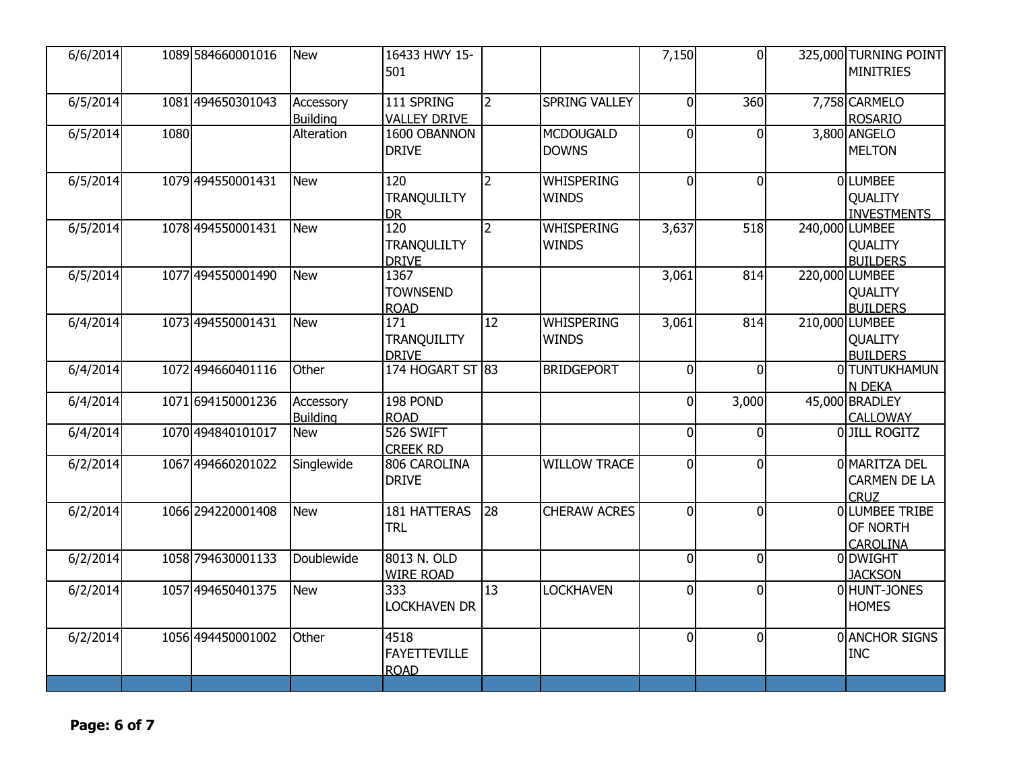| 6/6/2014 |      | 1089 584660001016 | <b>New</b>                   | 16433 HWY 15-<br>501                       |                |                                   | 7,150          | $\overline{0}$ | 325,000 TURNING POINT<br><b>MINITRIES</b>              |
|----------|------|-------------------|------------------------------|--------------------------------------------|----------------|-----------------------------------|----------------|----------------|--------------------------------------------------------|
| 6/5/2014 |      | 1081 494650301043 | Accessory<br><b>Building</b> | 111 SPRING<br><b>VALLEY DRIVE</b>          | <u> 2</u>      | <b>SPRING VALLEY</b>              | 0              | 360            | 7,758 CARMELO<br><b>ROSARIO</b>                        |
| 6/5/2014 | 1080 |                   | Alteration                   | 1600 OBANNON<br><b>DRIVE</b>               |                | <b>MCDOUGALD</b><br><b>DOWNS</b>  | $\mathbf 0$    | $\overline{0}$ | 3,800 ANGELO<br><b>MELTON</b>                          |
| 6/5/2014 |      | 1079 494550001431 | <b>New</b>                   | 120<br><b>TRANQULILTY</b><br><b>DR</b>     | $\overline{2}$ | <b>WHISPERING</b><br><b>WINDS</b> | 0              | $\overline{0}$ | <b>OLUMBEE</b><br><b>QUALITY</b><br><b>INVESTMENTS</b> |
| 6/5/2014 |      | 1078 494550001431 | <b>New</b>                   | 120<br><b>TRANQULILTY</b><br><b>DRIVE</b>  | $\overline{2}$ | <b>WHISPERING</b><br><b>WINDS</b> | 3,637          | 518            | 240,000 LUMBEE<br>QUALITY<br><b>BUILDERS</b>           |
| 6/5/2014 |      | 1077 494550001490 | <b>New</b>                   | 1367<br><b>TOWNSEND</b><br><b>ROAD</b>     |                |                                   | 3,061          | 814            | 220,000 LUMBEE<br><b>QUALITY</b><br><b>BUILDERS</b>    |
| 6/4/2014 |      | 1073 494550001431 | <b>New</b>                   | 171<br><b>TRANQUILITY</b><br><b>DRIVE</b>  | 12             | <b>WHISPERING</b><br><b>WINDS</b> | 3,061          | 814            | 210,000 LUMBEE<br><b>QUALITY</b><br><b>BUILDERS</b>    |
| 6/4/2014 |      | 1072 494660401116 | Other                        | 174 HOGART ST 83                           |                | <b>BRIDGEPORT</b>                 | $\overline{0}$ | $\overline{0}$ | 0 TUNTUKHAMUN<br>N DEKA                                |
| 6/4/2014 |      | 1071 694150001236 | Accessory<br><b>Building</b> | 198 POND<br><b>ROAD</b>                    |                |                                   | $\mathbf 0$    | 3,000          | 45,000 BRADLEY<br><b>CALLOWAY</b>                      |
| 6/4/2014 |      | 1070 494840101017 | <b>New</b>                   | 526 SWIFT<br><b>CREEK RD</b>               |                |                                   | $\overline{0}$ | $\overline{0}$ | OJILL ROGITZ                                           |
| 6/2/2014 |      | 1067 494660201022 | Singlewide                   | 806 CAROLINA<br><b>DRIVE</b>               |                | <b>WILLOW TRACE</b>               | $\mathbf 0$    | $\overline{0}$ | 0 MARITZA DEL<br>CARMEN DE LA<br><b>CRUZ</b>           |
| 6/2/2014 |      | 1066 294220001408 | <b>New</b>                   | 181 HATTERAS<br><b>TRL</b>                 | 28             | <b>CHERAW ACRES</b>               | 0              | $\overline{0}$ | OLUMBEE TRIBE<br>OF NORTH<br><b>CAROLINA</b>           |
| 6/2/2014 |      | 1058 794630001133 | Doublewide                   | 8013 N. OLD<br><b>WIRE ROAD</b>            |                |                                   | $\mathbf 0$    | $\overline{0}$ | 0 DWIGHT<br><b>JACKSON</b>                             |
| 6/2/2014 |      | 1057 494650401375 | <b>New</b>                   | 333<br><b>LOCKHAVEN DR</b>                 | 13             | <b>LOCKHAVEN</b>                  | 0              | $\overline{0}$ | 0 HUNT-JONES<br><b>HOMES</b>                           |
| 6/2/2014 |      | 1056 494450001002 | Other                        | 4518<br><b>FAYETTEVILLE</b><br><b>ROAD</b> |                |                                   | $\overline{0}$ | $\overline{0}$ | 0 ANCHOR SIGNS<br><b>INC</b>                           |